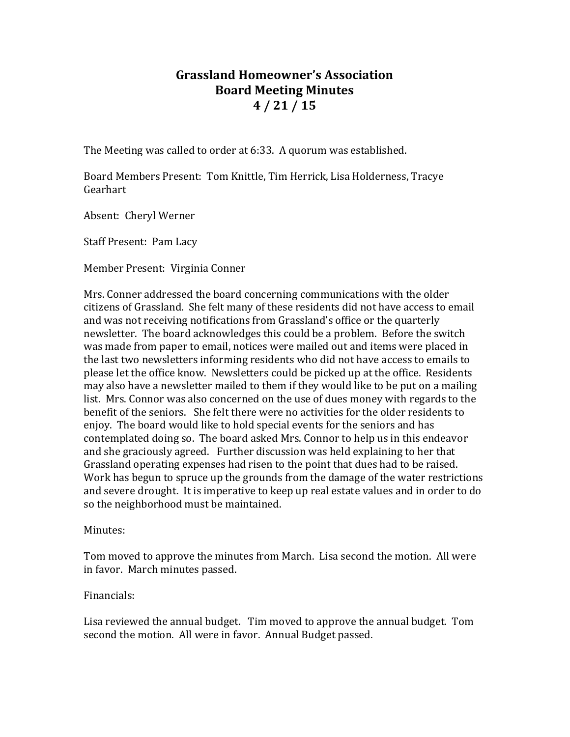## **Grassland Homeowner's Association Board Meeting Minutes 4 / 21 / 15**

The Meeting was called to order at 6:33. A quorum was established.

Board Members Present: Tom Knittle, Tim Herrick, Lisa Holderness, Tracye Gearhart

Absent: Cheryl Werner

Staff Present: Pam Lacy

Member Present: Virginia Conner

Mrs. Conner addressed the board concerning communications with the older citizens of Grassland. She felt many of these residents did not have access to email and was not receiving notifications from Grassland's office or the quarterly newsletter. The board acknowledges this could be a problem. Before the switch was made from paper to email, notices were mailed out and items were placed in the last two newsletters informing residents who did not have access to emails to please let the office know. Newsletters could be picked up at the office. Residents may also have a newsletter mailed to them if they would like to be put on a mailing list. Mrs. Connor was also concerned on the use of dues money with regards to the benefit of the seniors. She felt there were no activities for the older residents to enjoy. The board would like to hold special events for the seniors and has contemplated doing so. The board asked Mrs. Connor to help us in this endeavor and she graciously agreed. Further discussion was held explaining to her that Grassland operating expenses had risen to the point that dues had to be raised. Work has begun to spruce up the grounds from the damage of the water restrictions and severe drought. It is imperative to keep up real estate values and in order to do so the neighborhood must be maintained.

Minutes:

Tom moved to approve the minutes from March. Lisa second the motion. All were in favor. March minutes passed.

## Financials:

Lisa reviewed the annual budget. Tim moved to approve the annual budget. Tom second the motion. All were in favor. Annual Budget passed.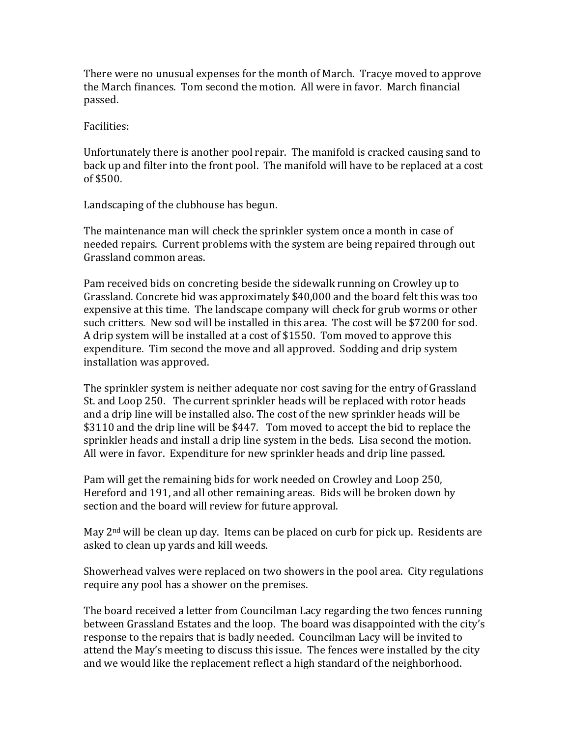There were no unusual expenses for the month of March. Tracye moved to approve the March finances. Tom second the motion. All were in favor. March financial passed.

Facilities:

Unfortunately there is another pool repair. The manifold is cracked causing sand to back up and filter into the front pool. The manifold will have to be replaced at a cost of \$500.

Landscaping of the clubhouse has begun.

The maintenance man will check the sprinkler system once a month in case of needed repairs. Current problems with the system are being repaired through out Grassland common areas.

Pam received bids on concreting beside the sidewalk running on Crowley up to Grassland. Concrete bid was approximately \$40,000 and the board felt this was too expensive at this time. The landscape company will check for grub worms or other such critters. New sod will be installed in this area. The cost will be \$7200 for sod. A drip system will be installed at a cost of \$1550. Tom moved to approve this expenditure. Tim second the move and all approved. Sodding and drip system installation was approved.

The sprinkler system is neither adequate nor cost saving for the entry of Grassland St. and Loop 250. The current sprinkler heads will be replaced with rotor heads and a drip line will be installed also. The cost of the new sprinkler heads will be \$3110 and the drip line will be \$447. Tom moved to accept the bid to replace the sprinkler heads and install a drip line system in the beds. Lisa second the motion. All were in favor. Expenditure for new sprinkler heads and drip line passed.

Pam will get the remaining bids for work needed on Crowley and Loop 250, Hereford and 191, and all other remaining areas. Bids will be broken down by section and the board will review for future approval.

May 2<sup>nd</sup> will be clean up day. Items can be placed on curb for pick up. Residents are asked to clean up yards and kill weeds.

Showerhead valves were replaced on two showers in the pool area. City regulations require any pool has a shower on the premises.

The board received a letter from Councilman Lacy regarding the two fences running between Grassland Estates and the loop. The board was disappointed with the city's response to the repairs that is badly needed. Councilman Lacy will be invited to attend the May's meeting to discuss this issue. The fences were installed by the city and we would like the replacement reflect a high standard of the neighborhood.